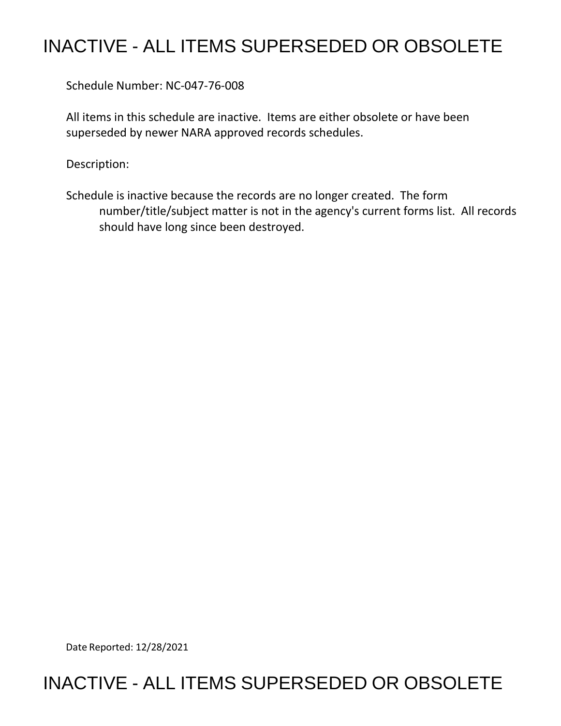## INACTIVE - ALL ITEMS SUPERSEDED OR OBSOLETE

Schedule Number: NC-047-76-008

 All items in this schedule are inactive. Items are either obsolete or have been superseded by newer NARA approved records schedules.

Description:

 Schedule is inactive because the records are no longer created. The form number/title/subject matter is not in the agency's current forms list. All records should have long since been destroyed.

Date Reported: 12/28/2021

## INACTIVE - ALL ITEMS SUPERSEDED OR OBSOLETE